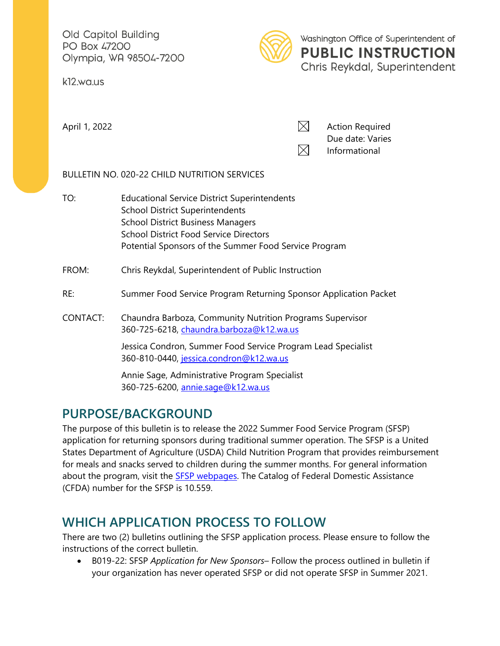Old Capitol Building PO Box 47200 Olympia, WA 98504-7200

k12.wa.us



Washington Office of Superintendent of **PUBLIC INSTRUCTION** Chris Reykdal, Superintendent

April 1, 2022 **Action Required**  $\boxtimes$  Action Required Due date: Varies  $\boxtimes$ Informational

### BULLETIN NO. 020-22 CHILD NUTRITION SERVICES

TO: Educational Service District Superintendents School District Superintendents School District Business Managers School District Food Service Directors Potential Sponsors of the Summer Food Service Program

### FROM: Chris Reykdal, Superintendent of Public Instruction

- RE: Summer Food Service Program Returning Sponsor Application Packet
- CONTACT: Chaundra Barboza, Community Nutrition Programs Supervisor 360-725-6218, [chaundra.barboza@k12.wa.us](mailto:chaundra.barboza@k12.wa.us)

Jessica Condron, Summer Food Service Program Lead Specialist 360-810-0440, [jessica.condron@k12.wa.us](mailto:jessica.condron@k12.wa.us) 

Annie Sage, Administrative Program Specialist 360-725-6200, [annie.sage@k12.wa.us](mailto:annie.sage@k12.wa.us) 

## **PURPOSE/BACKGROUND**

The purpose of this bulletin is to release the 2022 Summer Food Service Program (SFSP) application for returning sponsors during traditional summer operation. The SFSP is a United States Department of Agriculture (USDA) Child Nutrition Program that provides reimbursement for meals and snacks served to children during the summer months. For general information about the program, visit the **SFSP** webpages. The Catalog of Federal Domestic Assistance (CFDA) number for the SFSP is 10.559.

# **WHICH APPLICATION PROCESS TO FOLLOW**

There are two (2) bulletins outlining the SFSP application process. Please ensure to follow the instructions of the correct bulletin.

• B019-22: SFSP *Application for New Sponsors*– Follow the process outlined in bulletin if your organization has never operated SFSP or did not operate SFSP in Summer 2021.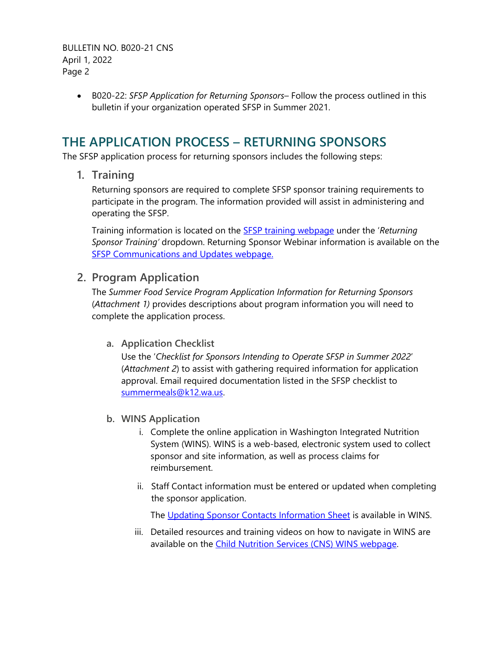BULLETIN NO. B020-21 CNS April 1, 2022 Page 2

> • B020-22: *SFSP Application for Returning Sponsors*– Follow the process outlined in this bulletin if your organization operated SFSP in Summer 2021.

### **THE APPLICATION PROCESS – RETURNING SPONSORS**

The SFSP application process for returning sponsors includes the following steps:

**1. Training** 

Returning sponsors are required to complete SFSP sponsor training requirements to participate in the program. The information provided will assist in administering and operating the SFSP.

Training information is located on the [SFSP training webpage](https://www.k12.wa.us/policy-funding/child-nutrition/community-nutrition/summer-food-service-program/summer-food-service-program-training) under the '*Returning Sponsor Training'* dropdown. Returning Sponsor Webinar information is available on the [SFSP Communications and Updates webpage.](https://www.k12.wa.us/policy-funding/child-nutrition/community-nutrition/summer-food-service-program/sfsp-communications-and-updates)

### **2. Program Application**

The *Summer Food Service Program Application Information for Returning Sponsors* (*Attachment 1)* provides descriptions about program information you will need to complete the application process.

**a. Application Checklist**

Use the '*Checklist for Sponsors Intending to Operate SFSP in Summer 2022*' (*Attachment 2*) to assist with gathering required information for application approval. Email required documentation listed in the SFSP checklist to [summermeals@k12.wa.us.](mailto:summermeals@k12.wa.us)

- **b. WINS Application**
	- i. Complete the online application in Washington Integrated Nutrition System (WINS). WINS is a web-based, electronic system used to collect sponsor and site information, as well as process claims for reimbursement.
	- ii. Staff Contact information must be entered or updated when completing the sponsor application.

The [Updating Sponsor Contacts Information Sheet](https://www.wa-wins.com/WINS/Views/Utility/Utility.aspx?Source=ShowDocument&Guid=c0cf7af2-afc0-49ad-882a-f4a2acb2f393) is available in WINS.

iii. Detailed resources and training videos on how to navigate in WINS are available on the [Child Nutrition Services \(CNS\) WINS webpage.](http://www.k12.wa.us/ChildNutrition/WINS.aspx)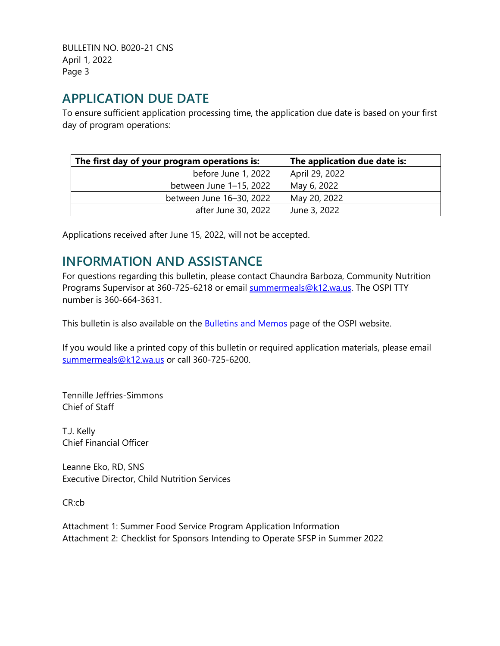BULLETIN NO. B020-21 CNS April 1, 2022 Page 3

## **APPLICATION DUE DATE**

To ensure sufficient application processing time, the application due date is based on your first day of program operations:

| The first day of your program operations is: | The application due date is: |
|----------------------------------------------|------------------------------|
| before June 1, 2022                          | April 29, 2022               |
| between June 1-15, 2022                      | May 6, 2022                  |
| between June 16-30, 2022                     | May 20, 2022                 |
| after June 30, 2022                          | June 3, 2022                 |

Applications received after June 15, 2022, will not be accepted.

# **INFORMATION AND ASSISTANCE**

For questions regarding this bulletin, please contact Chaundra Barboza, Community Nutrition Programs Supervisor at 360-725-6218 or email [summermeals@k12.wa.us.](mailto:mary.nagel@k12.wa.us) The OSPI TTY number is 360-664-3631.

This bulletin is also available on the **Bulletins and Memos** page of the OSPI website.

If you would like a printed copy of this bulletin or required application materials, please email [summermeals@k12.wa.us](mailto:summermeals@k12.wa.us) or call 360-725-6200.

Tennille Jeffries-Simmons Chief of Staff

T.J. Kelly Chief Financial Officer

Leanne Eko, RD, SNS Executive Director, Child Nutrition Services

CR:cb

Attachment 1: Summer Food Service Program Application Information Attachment 2: Checklist for Sponsors Intending to Operate SFSP in Summer 2022